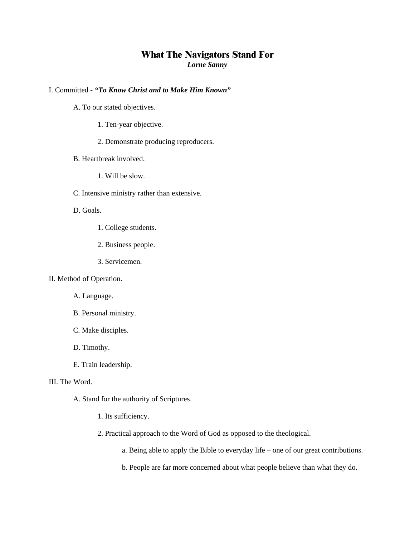# **What The Navigators Stand For**

*Lorne Sanny* 

# I. Committed - *"To Know Christ and to Make Him Known"*

- A. To our stated objectives.
	- 1. Ten-year objective.
	- 2. Demonstrate producing reproducers.
- B. Heartbreak involved.
	- 1. Will be slow.
- C. Intensive ministry rather than extensive.
- D. Goals.
	- 1. College students.
	- 2. Business people.
	- 3. Servicemen.

# II. Method of Operation.

- A. Language.
- B. Personal ministry.
- C. Make disciples.
- D. Timothy.
- E. Train leadership.

## III. The Word.

A. Stand for the authority of Scriptures.

- 1. Its sufficiency.
- 2. Practical approach to the Word of God as opposed to the theological.
	- a. Being able to apply the Bible to everyday life one of our great contributions.
	- b. People are far more concerned about what people believe than what they do.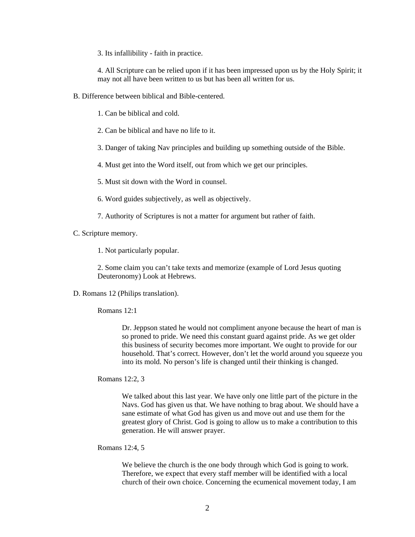3. Its infallibility - faith in practice.

4. All Scripture can be relied upon if it has been impressed upon us by the Holy Spirit; it may not all have been written to us but has been all written for us.

B. Difference between biblical and Bible-centered.

1. Can be biblical and cold.

- 2. Can be biblical and have no life to it.
- 3. Danger of taking Nav principles and building up something outside of the Bible.

4. Must get into the Word itself, out from which we get our principles.

- 5. Must sit down with the Word in counsel.
- 6. Word guides subjectively, as well as objectively.
- 7. Authority of Scriptures is not a matter for argument but rather of faith.
- C. Scripture memory.

1. Not particularly popular.

2. Some claim you can't take texts and memorize (example of Lord Jesus quoting Deuteronomy) Look at Hebrews.

D. Romans 12 (Philips translation).

Romans 12:1

Dr. Jeppson stated he would not compliment anyone because the heart of man is so proned to pride. We need this constant guard against pride. As we get older this business of security becomes more important. We ought to provide for our household. That's correct. However, don't let the world around you squeeze you into its mold. No person's life is changed until their thinking is changed.

Romans 12:2, 3

We talked about this last year. We have only one little part of the picture in the Navs. God has given us that. We have nothing to brag about. We should have a sane estimate of what God has given us and move out and use them for the greatest glory of Christ. God is going to allow us to make a contribution to this generation. He will answer prayer.

# Romans 12:4, 5

We believe the church is the one body through which God is going to work. Therefore, we expect that every staff member will be identified with a local church of their own choice. Concerning the ecumenical movement today, I am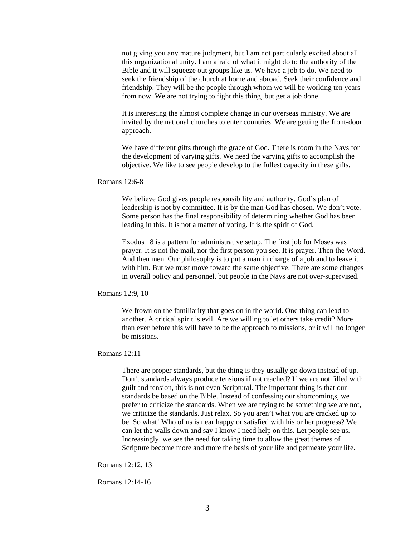not giving you any mature judgment, but I am not particularly excited about all this organizational unity. I am afraid of what it might do to the authority of the Bible and it will squeeze out groups like us. We have a job to do. We need to seek the friendship of the church at home and abroad. Seek their confidence and friendship. They will be the people through whom we will be working ten years from now. We are not trying to fight this thing, but get a job done.

It is interesting the almost complete change in our overseas ministry. We are invited by the national churches to enter countries. We are getting the front-door approach.

We have different gifts through the grace of God. There is room in the Navs for the development of varying gifts. We need the varying gifts to accomplish the objective. We like to see people develop to the fullest capacity in these gifts.

#### Romans 12:6-8

We believe God gives people responsibility and authority. God's plan of leadership is not by committee. It is by the man God has chosen. We don't vote. Some person has the final responsibility of determining whether God has been leading in this. It is not a matter of voting. It is the spirit of God.

Exodus 18 is a pattern for administrative setup. The first job for Moses was prayer. It is not the mail, nor the first person you see. It is prayer. Then the Word. And then men. Our philosophy is to put a man in charge of a job and to leave it with him. But we must move toward the same objective. There are some changes in overall policy and personnel, but people in the Navs are not over-supervised.

## Romans 12:9, 10

We frown on the familiarity that goes on in the world. One thing can lead to another. A critical spirit is evil. Are we willing to let others take credit? More than ever before this will have to be the approach to missions, or it will no longer be missions.

## Romans 12:11

There are proper standards, but the thing is they usually go down instead of up. Don't standards always produce tensions if not reached? If we are not filled with guilt and tension, this is not even Scriptural. The important thing is that our standards be based on the Bible. Instead of confessing our shortcomings, we prefer to criticize the standards. When we are trying to be something we are not, we criticize the standards. Just relax. So you aren't what you are cracked up to be. So what! Who of us is near happy or satisfied with his or her progress? We can let the walls down and say I know I need help on this. Let people see us. Increasingly, we see the need for taking time to allow the great themes of Scripture become more and more the basis of your life and permeate your life.

Romans 12:12, 13

Romans 12:14-16